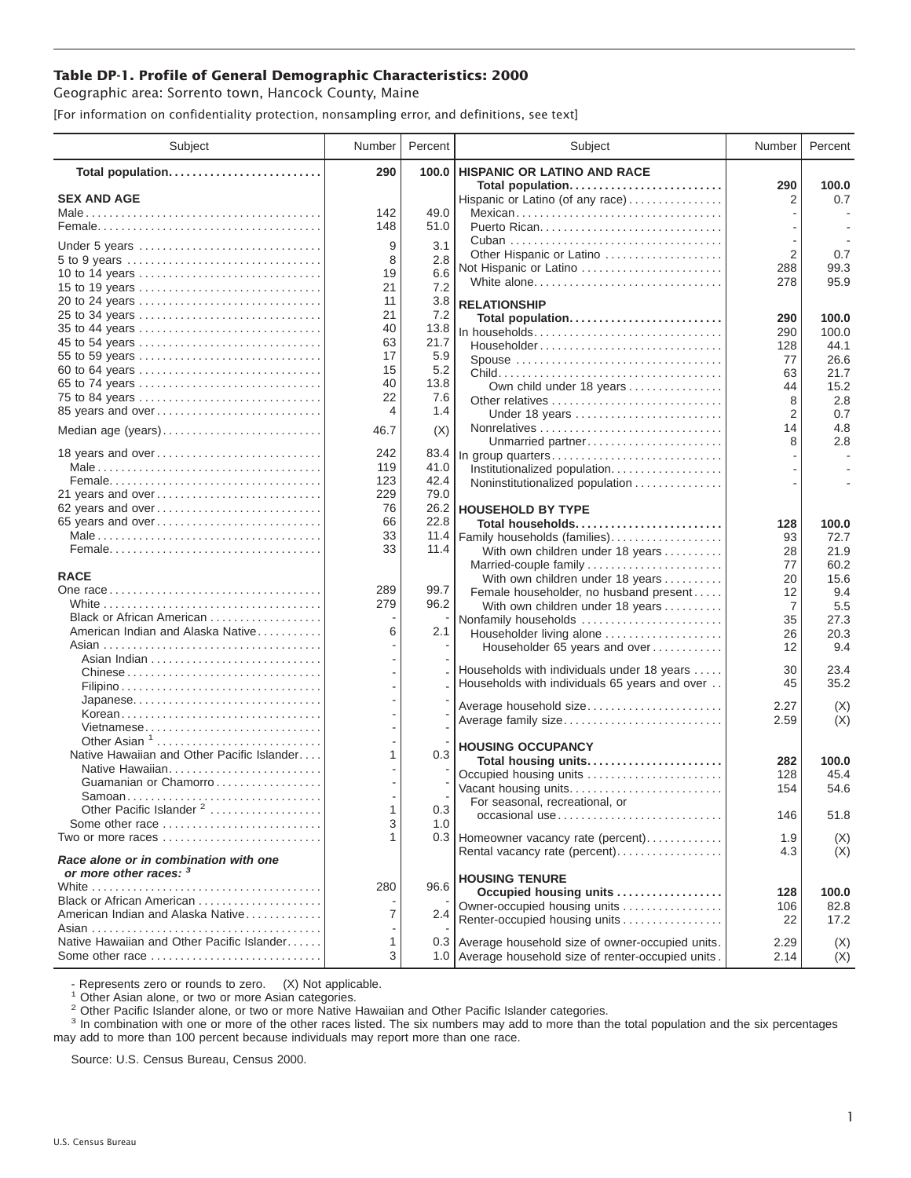## **Table DP-1. Profile of General Demographic Characteristics: 2000**

Geographic area: Sorrento town, Hancock County, Maine

[For information on confidentiality protection, nonsampling error, and definitions, see text]

| Subject                                                         | Number     | Percent      | Subject                                                               | Number         | Percent       |
|-----------------------------------------------------------------|------------|--------------|-----------------------------------------------------------------------|----------------|---------------|
| Total population                                                | 290        | 100.0        | HISPANIC OR LATINO AND RACE                                           |                |               |
| <b>SEX AND AGE</b>                                              |            |              | Total population<br>Hispanic or Latino (of any race)                  | 290<br>2       | 100.0<br>0.7  |
|                                                                 | 142        | 49.0         | Mexican                                                               |                |               |
|                                                                 | 148        | 51.0         |                                                                       |                |               |
|                                                                 |            |              |                                                                       |                |               |
| Under 5 years                                                   | 9<br>8     | 3.1          | Other Hispanic or Latino                                              | $\overline{2}$ | 0.7           |
| 5 to 9 years<br>10 to 14 years                                  | 19         | 2.8<br>6.6   | Not Hispanic or Latino                                                | 288            | 99.3          |
| 15 to 19 years                                                  | 21         | 7.2          | White alone                                                           | 278            | 95.9          |
| 20 to 24 years                                                  | 11         | 3.8          | <b>RELATIONSHIP</b>                                                   |                |               |
| 25 to 34 years                                                  | 21         | 7.2          | Total population                                                      | 290            | 100.0         |
| 35 to 44 years                                                  | 40         | 13.8         | In households                                                         | 290            | 100.0         |
| 45 to 54 years                                                  | 63         | 21.7         | Householder                                                           | 128            | 44.1          |
| 55 to 59 years                                                  | 17         | 5.9          | Spouse                                                                | 77             | 26.6          |
| 60 to 64 years                                                  | 15         | 5.2          |                                                                       | 63             | 21.7          |
| 65 to 74 years                                                  | 40         | 13.8         | Own child under 18 years                                              | 44             | 15.2          |
| 75 to 84 years                                                  | 22         | 7.6          |                                                                       | 8              | 2.8           |
| 85 years and over                                               | 4          | 1.4          | Under 18 years                                                        | 2              | 0.7           |
| Median age (years)                                              | 46.7       | (X)          |                                                                       | 14             | 4.8           |
|                                                                 |            |              | Unmarried partner                                                     | 8              | 2.8           |
| 18 years and over                                               | 242<br>119 | 83.4         | In group quarters                                                     |                |               |
|                                                                 | 123        | 41.0<br>42.4 | Institutionalized population.                                         |                |               |
| 21 years and over                                               | 229        | 79.0         | Noninstitutionalized population                                       |                |               |
| 62 years and over                                               | 76         |              | 26.2 HOUSEHOLD BY TYPE                                                |                |               |
| 65 years and over                                               | 66         | 22.8         | Total households                                                      | 128            | 100.0         |
|                                                                 | 33         | 11.4         | Family households (families)                                          | 93             | 72.7          |
|                                                                 | 33         | 11.4         | With own children under 18 years                                      | 28             | 21.9          |
|                                                                 |            |              | Married-couple family                                                 | 77             | 60.2          |
| <b>RACE</b>                                                     |            |              | With own children under 18 years                                      | 20             | 15.6          |
|                                                                 | 289        | 99.7         | Female householder, no husband present                                | 12             | 9.4           |
|                                                                 | 279        | 96.2         | With own children under 18 years                                      | 7              | 5.5           |
| Black or African American                                       |            |              | Nonfamily households                                                  | 35             | 27.3          |
| American Indian and Alaska Native                               | 6          | 2.1          | Householder living alone                                              | 26             | 20.3          |
|                                                                 |            |              | Householder 65 years and over                                         | 12             | 9.4           |
| Chinese                                                         |            |              | Households with individuals under 18 years                            | 30             | 23.4          |
|                                                                 |            |              | Households with individuals 65 years and over                         | 45             | 35.2          |
|                                                                 |            |              |                                                                       |                |               |
| Korean                                                          |            |              | Average household size                                                | 2.27           | (X)           |
| Vietnamese                                                      |            |              | Average family size                                                   | 2.59           | (X)           |
| Other Asian $1, \ldots, \ldots, \ldots, \ldots, \ldots, \ldots$ |            |              | <b>HOUSING OCCUPANCY</b>                                              |                |               |
| Native Hawaiian and Other Pacific Islander                      | 1          | 0.3          | Total housing units                                                   | 282            | 100.0         |
|                                                                 |            |              | Occupied housing units                                                | 128            | 45.4          |
| Guamanian or Chamorro                                           |            |              | Vacant housing units                                                  | 154            | 54.6          |
| Samoan                                                          |            |              | For seasonal, recreational, or                                        |                |               |
| Other Pacific Islander <sup>2</sup><br>Some other race          | 1          | 0.3          | occasional use                                                        | 146            | 51.8          |
| Two or more races                                               | 3<br>1     | 1.0          |                                                                       |                |               |
|                                                                 |            |              | 0.3 Homeowner vacancy rate (percent)<br>Rental vacancy rate (percent) | 1.9<br>4.3     | (X)<br>(X)    |
| Race alone or in combination with one<br>or more other races: 3 |            |              |                                                                       |                |               |
|                                                                 | 280        | 96.6         | <b>HOUSING TENURE</b>                                                 | 128            |               |
| Black or African American                                       |            |              | Occupied housing units<br>Owner-occupied housing units                | 106            | 100.0<br>82.8 |
| American Indian and Alaska Native                               | 7          | 2.4          | Renter-occupied housing units                                         | 22             | 17.2          |
|                                                                 |            |              |                                                                       |                |               |
| Native Hawaiian and Other Pacific Islander                      | 1          |              | 0.3 Average household size of owner-occupied units.                   | 2.29           | (X)           |
| Some other race                                                 | 3          |              | 1.0 Average household size of renter-occupied units.                  | 2.14           | (X)           |

- Represents zero or rounds to zero. (X) Not applicable.<br><sup>1</sup> Other Asian alone, or two or more Asian categories.

<sup>2</sup> Other Pacific Islander alone, or two or more Native Hawaiian and Other Pacific Islander categories.<br><sup>3</sup> In combination with one or more of the other races listed. The six numbers may add to more than the total populati may add to more than 100 percent because individuals may report more than one race.

Source: U.S. Census Bureau, Census 2000.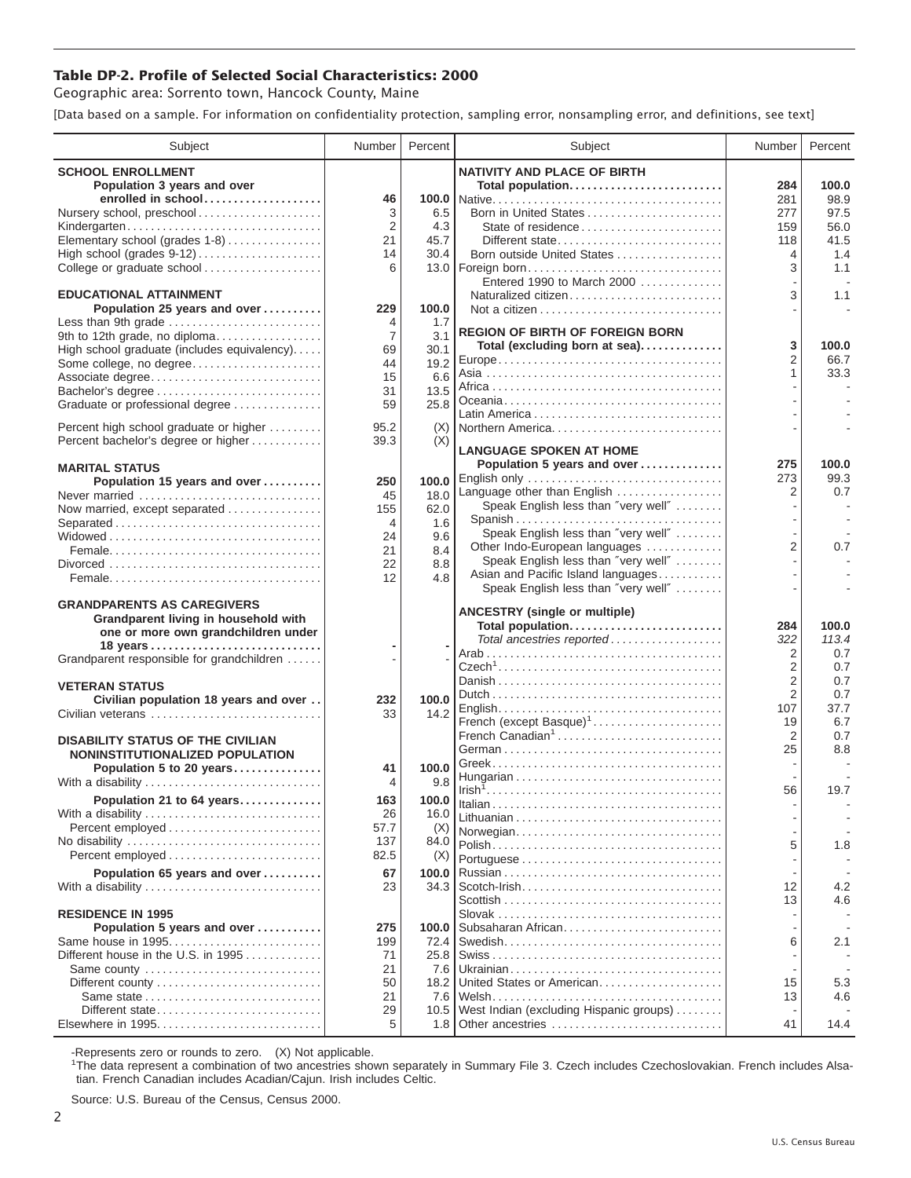## **Table DP-2. Profile of Selected Social Characteristics: 2000**

Geographic area: Sorrento town, Hancock County, Maine

[Data based on a sample. For information on confidentiality protection, sampling error, nonsampling error, and definitions, see text]

| Subject                                                     | Number         | Percent      | Subject                                                  | Number         | Percent     |
|-------------------------------------------------------------|----------------|--------------|----------------------------------------------------------|----------------|-------------|
| <b>SCHOOL ENROLLMENT</b>                                    |                |              | <b>NATIVITY AND PLACE OF BIRTH</b>                       |                |             |
| Population 3 years and over                                 |                |              | Total population                                         | 284            | 100.0       |
| enrolled in school                                          | 46             |              |                                                          | 281            | 98.9        |
| Nursery school, preschool                                   | 3              | 6.5          | Born in United States                                    | 277            | 97.5        |
| Kindergarten                                                | 2              | 4.3          |                                                          | 159            | 56.0        |
| Elementary school (grades 1-8)                              | 21<br>14       | 45.7<br>30.4 | Different state<br>Born outside United States            | 118            | 41.5<br>1.4 |
| College or graduate school                                  | 6              |              | 13.0   Foreign born                                      | 4<br>3         | 1.1         |
|                                                             |                |              | Entered 1990 to March 2000                               |                |             |
| <b>EDUCATIONAL ATTAINMENT</b>                               |                |              | Naturalized citizen                                      | 3              | 1.1         |
| Population 25 years and over                                | 229            | 100.0        |                                                          |                |             |
| Less than 9th grade                                         | 4              | 1.7          | <b>REGION OF BIRTH OF FOREIGN BORN</b>                   |                |             |
| 9th to 12th grade, no diploma                               | $\overline{7}$ | 3.1          | Total (excluding born at sea)                            | 3              | 100.0       |
| High school graduate (includes equivalency)                 | 69             | 30.1         |                                                          | $\overline{2}$ | 66.7        |
| Some college, no degree<br>Associate degree                 | 44<br>15       | 19.2<br>6.6  |                                                          | 1              | 33.3        |
|                                                             | 31             | 13.5         |                                                          |                |             |
| Graduate or professional degree                             | 59             | 25.8         |                                                          |                |             |
|                                                             |                |              |                                                          |                |             |
| Percent high school graduate or higher                      | 95.2           | (X)          | Northern America                                         |                |             |
| Percent bachelor's degree or higher                         | 39.3           | (X)          | <b>LANGUAGE SPOKEN AT HOME</b>                           |                |             |
| <b>MARITAL STATUS</b>                                       |                |              | Population 5 years and over                              | 275            | 100.0       |
| Population 15 years and over                                | 250            | 100.0        | English only                                             | 273            | 99.3        |
| Never married                                               | 45             | 18.0         | Language other than English                              | 2              | 0.7         |
| Now married, except separated                               | 155            | 62.0         | Speak English less than "very well"                      |                |             |
| Separated                                                   | 4              | 1.6          | Spanish<br>Speak English less than "very well"           |                |             |
|                                                             | 24             | 9.6          | Other Indo-European languages                            | $\overline{2}$ | 0.7         |
|                                                             | 21<br>22       | 8.4<br>8.8   | Speak English less than "very well"                      |                |             |
|                                                             | 12             | 4.8          | Asian and Pacific Island languages                       |                |             |
|                                                             |                |              | Speak English less than "very well"                      |                |             |
| <b>GRANDPARENTS AS CAREGIVERS</b>                           |                |              |                                                          |                |             |
| Grandparent living in household with                        |                |              | <b>ANCESTRY (single or multiple)</b><br>Total population | 284            | 100.0       |
| one or more own grandchildren under                         |                |              | Total ancestries reported                                | 322            | 113.4       |
| Grandparent responsible for grandchildren                   |                |              |                                                          | $\overline{2}$ | 0.7         |
|                                                             |                |              |                                                          | $\overline{2}$ | 0.7         |
| <b>VETERAN STATUS</b>                                       |                |              |                                                          | $\overline{2}$ | 0.7         |
| Civilian population 18 years and over                       | 232            | 100.0        |                                                          | $\overline{2}$ | 0.7         |
| Civilian veterans                                           | 33             | 14.2         | French (except Basque) <sup>1</sup>                      | 107<br>19      | 37.7<br>6.7 |
|                                                             |                |              | French Canadian <sup>1</sup>                             | $\overline{2}$ | 0.7         |
| <b>DISABILITY STATUS OF THE CIVILIAN</b>                    |                |              |                                                          | 25             | 8.8         |
| NONINSTITUTIONALIZED POPULATION<br>Population 5 to 20 years | 41             | 100.0        |                                                          |                |             |
| With a disability                                           | 4              | 9.8          |                                                          |                |             |
| Population 21 to 64 years                                   | 163            | 100.0        |                                                          | 56             | 19.7        |
| With a disability                                           | 26             | 16.0         |                                                          |                |             |
| Percent employed                                            | 57.7           | (X)          | Norwegian                                                |                |             |
|                                                             | 137            | 84.0         |                                                          | 5              | 1.8         |
|                                                             | 82.5           | (X)          |                                                          |                |             |
| Population 65 years and over                                | 67             | 100.0        |                                                          |                |             |
| With a disability                                           | 23             | 34.3         |                                                          | 12             | 4.2         |
|                                                             |                |              |                                                          | 13             | 4.6         |
| <b>RESIDENCE IN 1995</b>                                    |                |              |                                                          |                |             |
| Population 5 years and over                                 | 275            | 100.0        | Subsaharan African                                       |                |             |
| Same house in 1995<br>Different house in the U.S. in 1995   | 199<br>71      | 72.4<br>25.8 |                                                          | 6              | 2.1         |
| Same county                                                 | 21             | 7.6          |                                                          |                |             |
|                                                             | 50             | 18.2         | United States or American                                | 15             | 5.3         |
| Same state                                                  | 21             | 7.6          |                                                          | 13             | 4.6         |
| Different state                                             | 29             | 10.5         | West Indian (excluding Hispanic groups)                  |                |             |
|                                                             | 5              |              |                                                          | 41             | 14.4        |

-Represents zero or rounds to zero. (X) Not applicable. 1 The data represent a combination of two ancestries shown separately in Summary File 3. Czech includes Czechoslovakian. French includes Alsatian. French Canadian includes Acadian/Cajun. Irish includes Celtic.

Source: U.S. Bureau of the Census, Census 2000.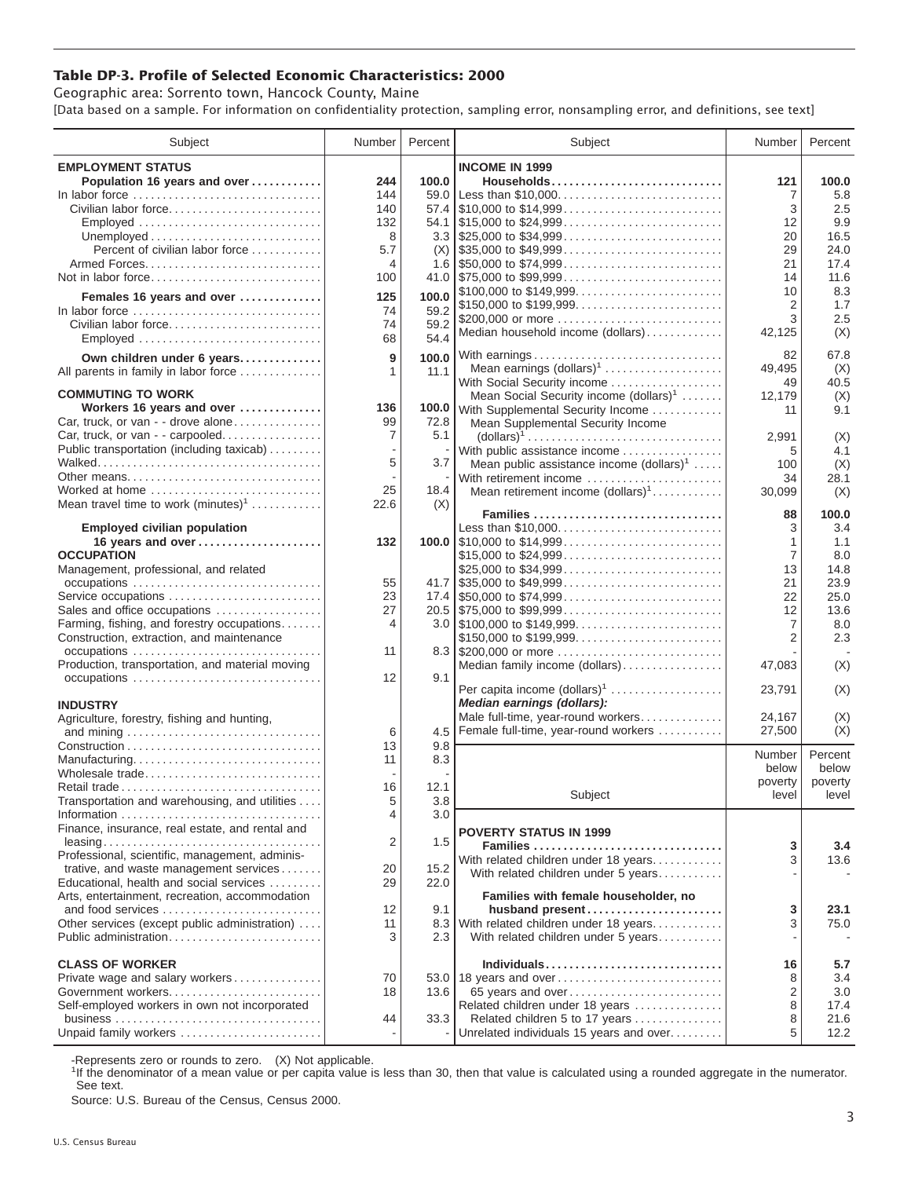## **Table DP-3. Profile of Selected Economic Characteristics: 2000**

Geographic area: Sorrento town, Hancock County, Maine [Data based on a sample. For information on confidentiality protection, sampling error, nonsampling error, and definitions, see text]

| Subject                                                                         | Number | Percent | Subject                                                                                | Number                           | Percent |
|---------------------------------------------------------------------------------|--------|---------|----------------------------------------------------------------------------------------|----------------------------------|---------|
| <b>EMPLOYMENT STATUS</b>                                                        |        |         | <b>INCOME IN 1999</b>                                                                  |                                  |         |
| Population 16 years and over                                                    | 244    | 100.0   | Households                                                                             | 121                              | 100.0   |
| In labor force                                                                  | 144    | 59.0    | Less than \$10,000                                                                     | 7                                | 5.8     |
| Civilian labor force                                                            | 140    | 57.4    | $\frac{1}{2}$ \$10,000 to \$14,999                                                     | 3                                | 2.5     |
| Employed                                                                        | 132    |         |                                                                                        | 12                               | 9.9     |
|                                                                                 | 8      |         |                                                                                        | 20                               | 16.5    |
| Percent of civilian labor force                                                 | 5.7    |         |                                                                                        | 29                               | 24.0    |
|                                                                                 | 4      |         |                                                                                        | 21                               | 17.4    |
| Not in labor force                                                              | 100    |         |                                                                                        | 14                               | 11.6    |
|                                                                                 |        |         | \$100,000 to \$149,999                                                                 | 10                               | 8.3     |
| Females 16 years and over                                                       | 125    | 100.0   | \$150,000 to \$199,999                                                                 | $\overline{2}$                   | 1.7     |
| In labor force $\ldots \ldots \ldots \ldots \ldots \ldots \ldots \ldots \ldots$ | 74     | 59.2    | \$200,000 or more                                                                      | 3                                | 2.5     |
| Civilian labor force                                                            | 74     | 59.2    | Median household income (dollars)                                                      | 42,125                           | (X)     |
| Employed                                                                        | 68     | 54.4    |                                                                                        |                                  |         |
| Own children under 6 years                                                      | 9      | 100.0   | With earnings                                                                          | 82                               | 67.8    |
| All parents in family in labor force                                            | 1      | 11.1    | Mean earnings $(dollars)1$                                                             | 49,495                           | (X)     |
|                                                                                 |        |         | With Social Security income                                                            | 49                               | 40.5    |
| <b>COMMUTING TO WORK</b>                                                        |        |         | Mean Social Security income $(dollars)^1$                                              | 12,179                           | (X)     |
| Workers 16 years and over                                                       | 136    |         | 100.0 With Supplemental Security Income                                                | 11                               | 9.1     |
| Car, truck, or van - - drove alone                                              | 99     | 72.8    | Mean Supplemental Security Income                                                      |                                  |         |
| Car, truck, or van - - carpooled                                                | 7      | 5.1     | $\text{(dollars)}^1 \dots \dots \dots \dots \dots \dots \dots \dots \dots \dots \dots$ | 2,991                            | (X)     |
| Public transportation (including taxicab)                                       |        |         | With public assistance income                                                          | 5                                | 4.1     |
|                                                                                 | 5      | 3.7     | Mean public assistance income $(dollars)^1$                                            | 100                              | (X)     |
| Other means                                                                     |        |         | With retirement income                                                                 | 34                               | 28.1    |
| Worked at home                                                                  | 25     | 18.4    | Mean retirement income $(dollars)1$                                                    | 30,099                           | (X)     |
| Mean travel time to work $(minutes)^1$                                          | 22.6   | (X)     |                                                                                        |                                  |         |
|                                                                                 |        |         | Families                                                                               | 88                               | 100.0   |
| <b>Employed civilian population</b>                                             |        |         | Less than \$10,000                                                                     | 3                                | 3.4     |
| 16 years and over                                                               | 132    |         |                                                                                        | 1                                | 1.1     |
| <b>OCCUPATION</b>                                                               |        |         | \$15,000 to \$24,999                                                                   | $\overline{7}$                   | 8.0     |
| Management, professional, and related                                           |        |         | \$25,000 to \$34,999                                                                   | 13                               | 14.8    |
|                                                                                 | 55     |         |                                                                                        | 21                               | 23.9    |
| Service occupations                                                             | 23     |         |                                                                                        | 22                               | 25.0    |
| Sales and office occupations                                                    | 27     |         |                                                                                        | 12                               | 13.6    |
| Farming, fishing, and forestry occupations                                      | 4      |         |                                                                                        | $\overline{7}$<br>$\overline{2}$ | 8.0     |
| Construction, extraction, and maintenance                                       | 11     |         | \$150,000 to \$199,999<br>8.3 \$200,000 or more                                        |                                  | 2.3     |
| Production, transportation, and material moving                                 |        |         |                                                                                        |                                  |         |
|                                                                                 | 12     | 9.1     | Median family income (dollars)                                                         | 47,083                           | (X)     |
|                                                                                 |        |         | Per capita income (dollars) <sup>1</sup>                                               | 23,791                           | (X)     |
| <b>INDUSTRY</b>                                                                 |        |         | Median earnings (dollars):                                                             |                                  |         |
| Agriculture, forestry, fishing and hunting,                                     |        |         | Male full-time, year-round workers                                                     | 24,167                           | (X)     |
|                                                                                 | 6      | 4.5     | Female full-time, year-round workers                                                   | 27,500                           | (X)     |
|                                                                                 | 13     | 9.8     |                                                                                        |                                  |         |
| Manufacturing                                                                   | 11     | 8.3     |                                                                                        | Number                           | Percent |
| Wholesale trade                                                                 |        |         |                                                                                        | below                            | below   |
| Retail trade                                                                    | 16     | 12.1    |                                                                                        | poverty                          | poverty |
| Transportation and warehousing, and utilities                                   | 5      | 3.8     | Subject                                                                                | level                            | level   |
|                                                                                 | 4      | 3.0     |                                                                                        |                                  |         |
| Finance, insurance, real estate, and rental and                                 |        |         | <b>POVERTY STATUS IN 1999</b>                                                          |                                  |         |
| $leasing \ldots \ldots \ldots \ldots \ldots \ldots \ldots \ldots \ldots \ldots$ | 2      | 1.5     | Families                                                                               | 3                                | 3.4     |
| Professional, scientific, management, adminis-                                  |        |         | With related children under 18 years                                                   | 3                                | 13.6    |
| trative, and waste management services                                          | 20     | 15.2    | With related children under 5 years                                                    |                                  |         |
| Educational, health and social services                                         | 29     | 22.0    |                                                                                        |                                  |         |
| Arts, entertainment, recreation, accommodation                                  |        |         | Families with female householder, no                                                   |                                  |         |
| and food services                                                               | 12     | 9.1     | husband present                                                                        | 3                                | 23.1    |
| Other services (except public administration)                                   | 11     | 8.3     | With related children under 18 years                                                   | 3                                | 75.0    |
| Public administration                                                           | 3      | 2.3     | With related children under 5 years                                                    |                                  |         |
|                                                                                 |        |         |                                                                                        |                                  |         |
| <b>CLASS OF WORKER</b>                                                          |        |         | Individuals                                                                            | 16                               | 5.7     |
| Private wage and salary workers                                                 | 70     |         | 53.0 18 years and over                                                                 | 8                                | 3.4     |
| Government workers                                                              | 18     | 13.6    | 65 years and over                                                                      | 2                                | 3.0     |
| Self-employed workers in own not incorporated                                   |        |         | Related children under 18 years                                                        | 8                                | 17.4    |
|                                                                                 | 44     | 33.3    | Related children 5 to 17 years                                                         | 8                                | 21.6    |
| Unpaid family workers                                                           |        |         | Unrelated individuals 15 years and over                                                | 5                                | 12.2    |

-Represents zero or rounds to zero. (X) Not applicable.

<sup>1</sup>If the denominator of a mean value or per capita value is less than 30, then that value is calculated using a rounded aggregate in the numerator. See text.

Source: U.S. Bureau of the Census, Census 2000.